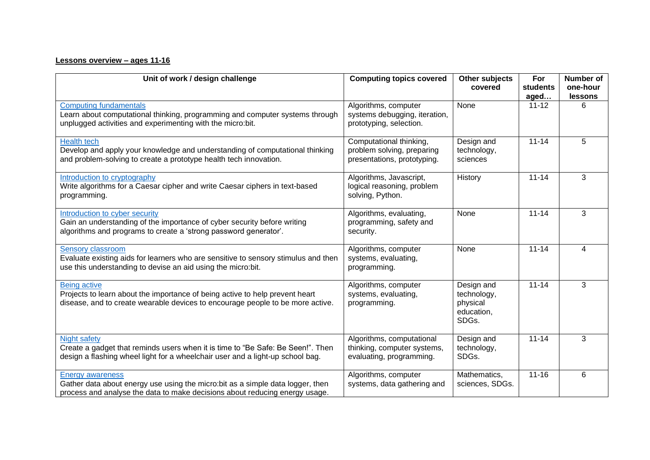## **Lessons overview – ages 11-16**

| Unit of work / design challenge                                                                                                                                                          | <b>Computing topics covered</b>                                                      | Other subjects<br>covered                                    | For<br>students<br>aged | Number of<br>one-hour<br>lessons |
|------------------------------------------------------------------------------------------------------------------------------------------------------------------------------------------|--------------------------------------------------------------------------------------|--------------------------------------------------------------|-------------------------|----------------------------------|
| <b>Computing fundamentals</b><br>Learn about computational thinking, programming and computer systems through<br>unplugged activities and experimenting with the micro:bit.              | Algorithms, computer<br>systems debugging, iteration,<br>prototyping, selection.     | None                                                         | $11 - 12$               | 6                                |
| <b>Health tech</b><br>Develop and apply your knowledge and understanding of computational thinking<br>and problem-solving to create a prototype health tech innovation.                  | Computational thinking,<br>problem solving, preparing<br>presentations, prototyping. | Design and<br>technology,<br>sciences                        | $11 - 14$               | 5                                |
| Introduction to cryptography<br>Write algorithms for a Caesar cipher and write Caesar ciphers in text-based<br>programming.                                                              | Algorithms, Javascript,<br>logical reasoning, problem<br>solving, Python.            | History                                                      | $11 - 14$               | 3                                |
| Introduction to cyber security<br>Gain an understanding of the importance of cyber security before writing<br>algorithms and programs to create a 'strong password generator'.           | Algorithms, evaluating,<br>programming, safety and<br>security.                      | None                                                         | $11 - 14$               | 3                                |
| <b>Sensory classroom</b><br>Evaluate existing aids for learners who are sensitive to sensory stimulus and then<br>use this understanding to devise an aid using the micro: bit.          | Algorithms, computer<br>systems, evaluating,<br>programming.                         | None                                                         | $11 - 14$               | 4                                |
| <b>Being active</b><br>Projects to learn about the importance of being active to help prevent heart<br>disease, and to create wearable devices to encourage people to be more active.    | Algorithms, computer<br>systems, evaluating,<br>programming.                         | Design and<br>technology,<br>physical<br>education,<br>SDGs. | $11 - 14$               | 3                                |
| Night safety<br>Create a gadget that reminds users when it is time to "Be Safe: Be Seen!". Then<br>design a flashing wheel light for a wheelchair user and a light-up school bag.        | Algorithms, computational<br>thinking, computer systems,<br>evaluating, programming. | Design and<br>technology,<br>SDGs.                           | $11 - 14$               | 3                                |
| <b>Energy awareness</b><br>Gather data about energy use using the micro:bit as a simple data logger, then<br>process and analyse the data to make decisions about reducing energy usage. | Algorithms, computer<br>systems, data gathering and                                  | Mathematics,<br>sciences, SDGs.                              | $11 - 16$               | $6\phantom{1}$                   |